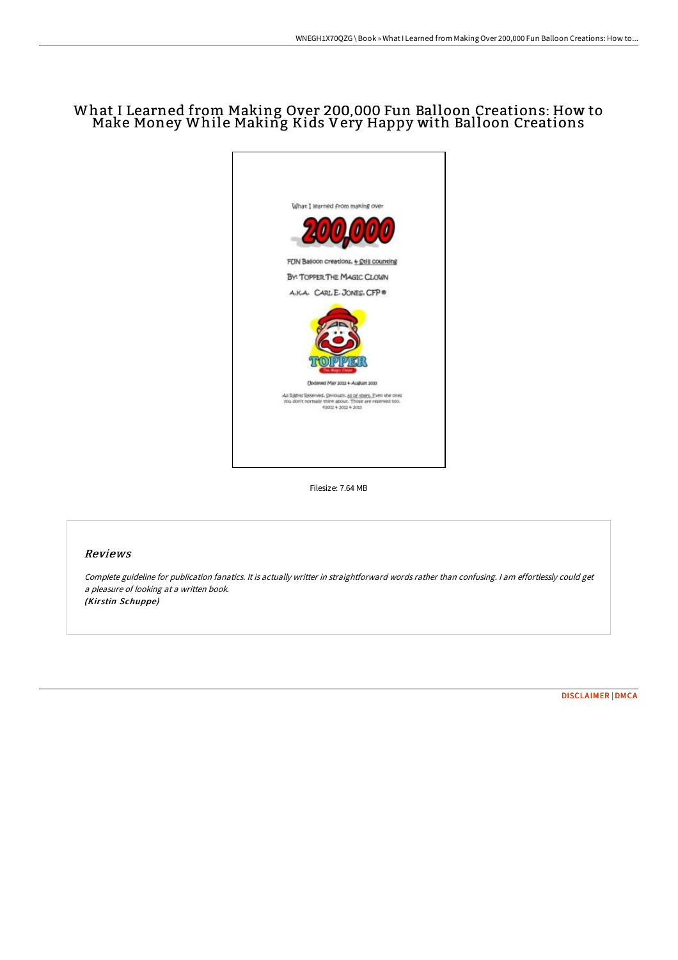## What I Learned from Making Over 200,000 Fun Balloon Creations: How to Make Money While Making Kids Very Happy with Balloon Creations



Filesize: 7.64 MB

## Reviews

Complete guideline for publication fanatics. It is actually writter in straightforward words rather than confusing. <sup>I</sup> am effortlessly could get <sup>a</sup> pleasure of looking at <sup>a</sup> written book. (Kirstin Schuppe)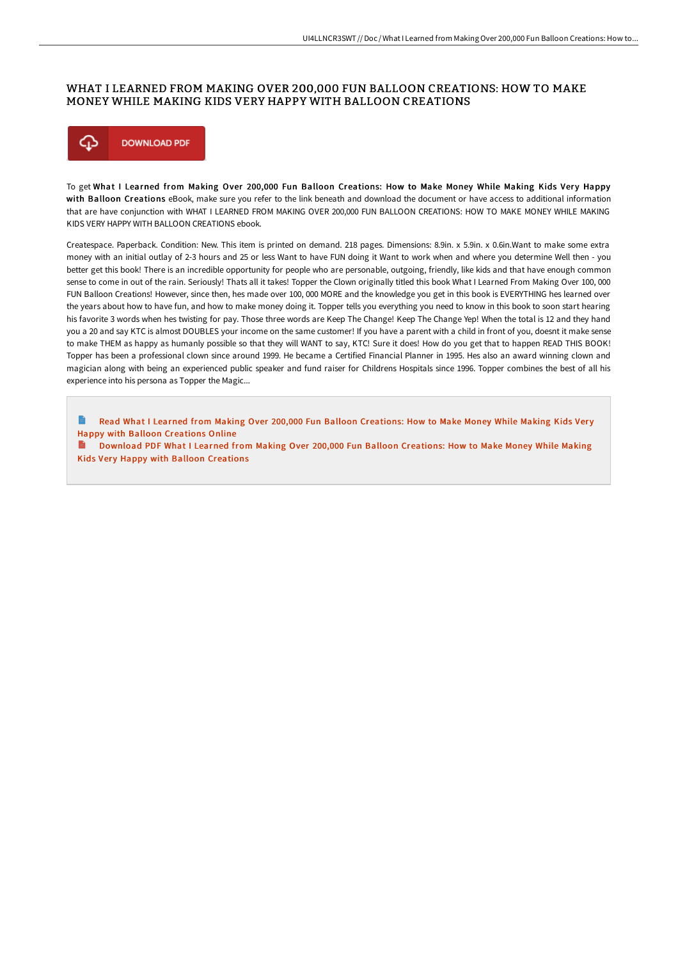## WHAT I LEARNED FROM MAKING OVER 200,000 FUN BALLOON CREATIONS: HOW TO MAKE MONEY WHILE MAKING KIDS VERY HAPPY WITH BALLOON CREATIONS



To get What I Learned from Making Over 200,000 Fun Balloon Creations: How to Make Money While Making Kids Very Happy with Balloon Creations eBook, make sure you refer to the link beneath and download the document or have access to additional information that are have conjunction with WHAT I LEARNED FROM MAKING OVER 200,000 FUN BALLOON CREATIONS: HOW TO MAKE MONEY WHILE MAKING KIDS VERY HAPPY WITH BALLOON CREATIONS ebook.

Createspace. Paperback. Condition: New. This item is printed on demand. 218 pages. Dimensions: 8.9in. x 5.9in. x 0.6in.Want to make some extra money with an initial outlay of 2-3 hours and 25 or less Want to have FUN doing it Want to work when and where you determine Well then - you better get this book! There is an incredible opportunity for people who are personable, outgoing, friendly, like kids and that have enough common sense to come in out of the rain. Seriously! Thats all it takes! Topper the Clown originally titled this book What I Learned From Making Over 100, 000 FUN Balloon Creations! However, since then, hes made over 100, 000 MORE and the knowledge you get in this book is EVERYTHING hes learned over the years about how to have fun, and how to make money doing it. Topper tells you everything you need to know in this book to soon start hearing his favorite 3 words when hes twisting for pay. Those three words are Keep The Change! Keep The Change Yep! When the total is 12 and they hand you a 20 and say KTC is almost DOUBLES your income on the same customer! If you have a parent with a child in front of you, doesnt it make sense to make THEM as happy as humanly possible so that they will WANT to say, KTC! Sure it does! How do you get that to happen READ THIS BOOK! Topper has been a professional clown since around 1999. He became a Certified Financial Planner in 1995. Hes also an award winning clown and magician along with being an experienced public speaker and fund raiser for Childrens Hospitals since 1996. Topper combines the best of all his experience into his persona as Topper the Magic...

Read What I Learned from Making Over 200,000 Fun Balloon [Creations:](http://www.bookdirs.com/what-i-learned-from-making-over-200-000-fun-ball.html) How to Make Money While Making Kids Very Happy with Balloon Creations Online

Download PDF What I Learned from Making Over 200,000 Fun Balloon [Creations:](http://www.bookdirs.com/what-i-learned-from-making-over-200-000-fun-ball.html) How to Make Money While Making Kids Very Happy with Balloon Creations